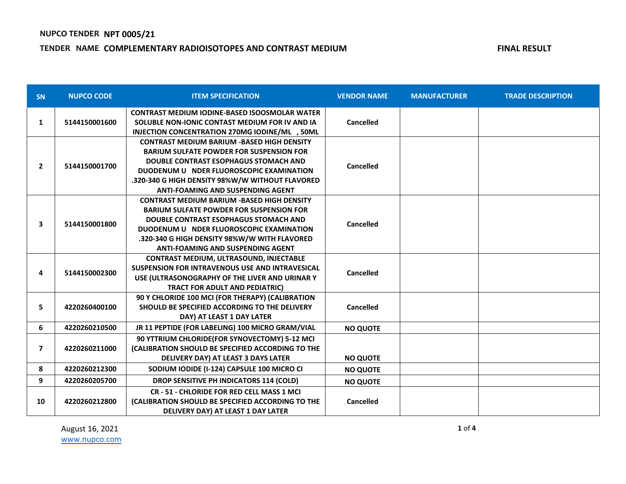### **TENDER NAME: COMPLEMENTARY RADIOISOTOPES AND CONTRAST MEDIUM FINAL RESULT FINAL RESULT**

| <b>SN</b>                | <b>NUPCO CODE</b> | <b>ITEM SPECIFICATION</b>                                                                                                                                                                                                                                                                       | <b>VENDOR NAME</b> | <b>MANUFACTURER</b> | <b>TRADE DESCRIPTION</b> |
|--------------------------|-------------------|-------------------------------------------------------------------------------------------------------------------------------------------------------------------------------------------------------------------------------------------------------------------------------------------------|--------------------|---------------------|--------------------------|
| $\mathbf{1}$             | 5144150001600     | <b>CONTRAST MEDIUM IODINE-BASED ISOOSMOLAR WATER</b><br>SOLUBLE NON-IONIC CONTAST MEDIUM FOR IV AND IA<br>INJECTION CONCENTRATION 270MG IODINE/ML, 50ML                                                                                                                                         | <b>Cancelled</b>   |                     |                          |
| $\overline{2}$           | 5144150001700     | <b>CONTRAST MEDIUM BARIUM -BASED HIGH DENSITY</b><br><b>BARIUM SULFATE POWDER FOR SUSPENSION FOR</b><br><b>DOUBLE CONTRAST ESOPHAGUS STOMACH AND</b><br>DUODENUM U NDER FLUOROSCOPIC EXAMINATION<br>.320-340 G HIGH DENSITY 98%W/W WITHOUT FLAVORED<br><b>ANTI-FOAMING AND SUSPENDING AGENT</b> | Cancelled          |                     |                          |
| 3                        | 5144150001800     | <b>CONTRAST MEDIUM BARIUM -BASED HIGH DENSITY</b><br><b>BARIUM SULFATE POWDER FOR SUSPENSION FOR</b><br><b>DOUBLE CONTRAST ESOPHAGUS STOMACH AND</b><br>DUODENUM U NDER FLUOROSCOPIC EXAMINATION<br>.320-340 G HIGH DENSITY 98%W/W WITH FLAVORED<br><b>ANTI-FOAMING AND SUSPENDING AGENT</b>    | <b>Cancelled</b>   |                     |                          |
| 4                        | 5144150002300     | <b>CONTRAST MEDIUM, ULTRASOUND, INJECTABLE</b><br><b>SUSPENSION FOR INTRAVENOUS USE AND INTRAVESICAL</b><br>USE (ULTRASONOGRAPHY OF THE LIVER AND URINAR Y<br><b>TRACT FOR ADULT AND PEDIATRIC)</b>                                                                                             | <b>Cancelled</b>   |                     |                          |
| 5                        | 4220260400100     | 90 Y CHLORIDE 100 MCI (FOR THERAPY) (CALIBRATION<br>SHOULD BE SPECIFIED ACCORDING TO THE DELIVERY<br>DAY) AT LEAST 1 DAY LATER                                                                                                                                                                  | Cancelled          |                     |                          |
| 6                        | 4220260210500     | JR 11 PEPTIDE (FOR LABELING) 100 MICRO GRAM/VIAL                                                                                                                                                                                                                                                | <b>NO QUOTE</b>    |                     |                          |
| $\overline{\phantom{a}}$ | 4220260211000     | 90 YTTRIUM CHLORIDE(FOR SYNOVECTOMY) 5-12 MCI<br>(CALIBRATION SHOULD BE SPECIFIED ACCORDING TO THE<br>DELIVERY DAY) AT LEAST 3 DAYS LATER                                                                                                                                                       | <b>NO QUOTE</b>    |                     |                          |
| 8                        | 4220260212300     | SODIUM IODIDE (I-124) CAPSULE 100 MICRO CI                                                                                                                                                                                                                                                      | <b>NO QUOTE</b>    |                     |                          |
| 9                        | 4220260205700     | DROP SENSITIVE PH INDICATORS 114 (COLD)                                                                                                                                                                                                                                                         | <b>NO QUOTE</b>    |                     |                          |
| 10                       | 4220260212800     | CR - 51 - CHLORIDE FOR RED CELL MASS 1 MCI<br>(CALIBRATION SHOULD BE SPECIFIED ACCORDING TO THE<br>DELIVERY DAY) AT LEAST 1 DAY LATER                                                                                                                                                           | Cancelled          |                     |                          |

August 16, 2021 [www.nupco.com](http://www.nupco.com/)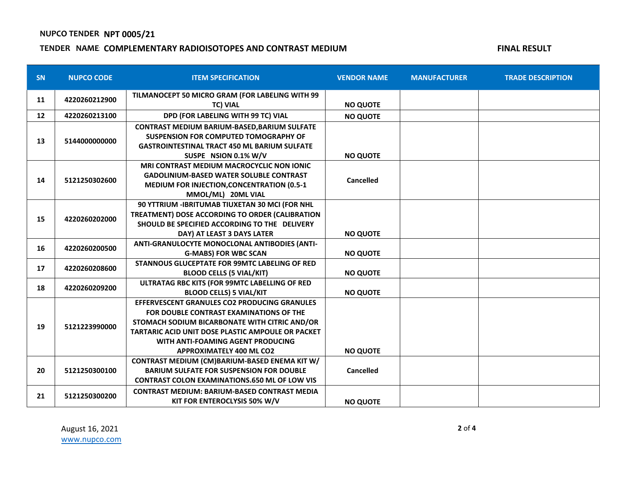# **NUPCO TENDER: NPT 0005/21**

### **TENDER NAME: COMPLEMENTARY RADIOISOTOPES AND CONTRAST MEDIUM FINAL RESULT FINAL RESULT**

| <b>SN</b> | <b>NUPCO CODE</b> | <b>ITEM SPECIFICATION</b>                                                                                                                                                                                                                                                    | <b>VENDOR NAME</b> | <b>MANUFACTURER</b> | <b>TRADE DESCRIPTION</b> |
|-----------|-------------------|------------------------------------------------------------------------------------------------------------------------------------------------------------------------------------------------------------------------------------------------------------------------------|--------------------|---------------------|--------------------------|
| 11        | 4220260212900     | TILMANOCEPT 50 MICRO GRAM (FOR LABELING WITH 99<br><b>TC) VIAL</b>                                                                                                                                                                                                           | <b>NO QUOTE</b>    |                     |                          |
| 12        | 4220260213100     | DPD (FOR LABELING WITH 99 TC) VIAL                                                                                                                                                                                                                                           | <b>NO QUOTE</b>    |                     |                          |
| 13        | 5144000000000     | <b>CONTRAST MEDIUM BARIUM-BASED, BARIUM SULFATE</b><br>SUSPENSION FOR COMPUTED TOMOGRAPHY OF<br><b>GASTROINTESTINAL TRACT 450 ML BARIUM SULFATE</b><br>SUSPE NSION 0.1% W/V                                                                                                  | <b>NO QUOTE</b>    |                     |                          |
| 14        | 5121250302600     | <b>MRI CONTRAST MEDIUM MACROCYCLIC NON IONIC</b><br><b>GADOLINIUM-BASED WATER SOLUBLE CONTRAST</b><br>MEDIUM FOR INJECTION, CONCENTRATION (0.5-1<br>MMOL/ML) 20ML VIAL                                                                                                       | Cancelled          |                     |                          |
| 15        | 4220260202000     | 90 YTTRIUM - IBRITUMAB TIUXETAN 30 MCI (FOR NHL<br>TREATMENT) DOSE ACCORDING TO ORDER (CALIBRATION<br>SHOULD BE SPECIFIED ACCORDING TO THE DELIVERY<br>DAY) AT LEAST 3 DAYS LATER                                                                                            | <b>NO QUOTE</b>    |                     |                          |
| 16        | 4220260200500     | ANTI-GRANULOCYTE MONOCLONAL ANTIBODIES (ANTI-<br><b>G-MABS) FOR WBC SCAN</b>                                                                                                                                                                                                 | <b>NO QUOTE</b>    |                     |                          |
| 17        | 4220260208600     | <b>STANNOUS GLUCEPTATE FOR 99MTC LABELING OF RED</b><br><b>BLOOD CELLS (5 VIAL/KIT)</b>                                                                                                                                                                                      | <b>NO QUOTE</b>    |                     |                          |
| 18        | 4220260209200     | ULTRATAG RBC KITS (FOR 99MTC LABELLING OF RED<br><b>BLOOD CELLS) 5 VIAL/KIT</b>                                                                                                                                                                                              | <b>NO QUOTE</b>    |                     |                          |
| 19        | 5121223990000     | EFFERVESCENT GRANULES CO2 PRODUCING GRANULES<br>FOR DOUBLE CONTRAST EXAMINATIONS OF THE<br>STOMACH SODIUM BICARBONATE WITH CITRIC AND/OR<br><b>TARTARIC ACID UNIT DOSE PLASTIC AMPOULE OR PACKET</b><br>WITH ANTI-FOAMING AGENT PRODUCING<br><b>APPROXIMATELY 400 ML CO2</b> | <b>NO QUOTE</b>    |                     |                          |
| 20        | 5121250300100     | CONTRAST MEDIUM (CM)BARIUM-BASED ENEMA KIT W/<br><b>BARIUM SULFATE FOR SUSPENSION FOR DOUBLE</b><br><b>CONTRAST COLON EXAMINATIONS.650 ML OF LOW VIS</b>                                                                                                                     | Cancelled          |                     |                          |
| 21        | 5121250300200     | <b>CONTRAST MEDIUM: BARIUM-BASED CONTRAST MEDIA</b><br>KIT FOR ENTEROCLYSIS 50% W/V                                                                                                                                                                                          | <b>NO QUOTE</b>    |                     |                          |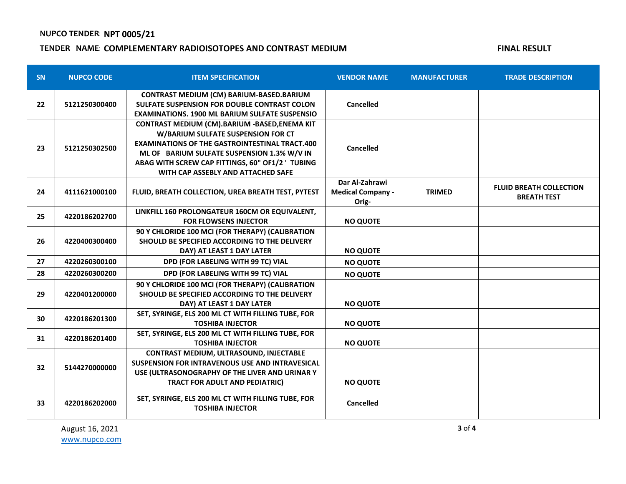# **NUPCO TENDER: NPT 0005/21**

### **TENDER NAME: COMPLEMENTARY RADIOISOTOPES AND CONTRAST MEDIUM FINAL RESULT FINAL RESULT**

| <b>SN</b> | <b>NUPCO CODE</b> | <b>ITEM SPECIFICATION</b>                                                                                                                                                                                                                                                            | <b>VENDOR NAME</b>                                  | <b>MANUFACTURER</b> | <b>TRADE DESCRIPTION</b>                             |
|-----------|-------------------|--------------------------------------------------------------------------------------------------------------------------------------------------------------------------------------------------------------------------------------------------------------------------------------|-----------------------------------------------------|---------------------|------------------------------------------------------|
| 22        | 5121250300400     | CONTRAST MEDIUM (CM) BARIUM-BASED.BARIUM<br>SULFATE SUSPENSION FOR DOUBLE CONTRAST COLON<br><b>EXAMINATIONS, 1900 ML BARIUM SULFATE SUSPENSIO</b>                                                                                                                                    | Cancelled                                           |                     |                                                      |
| 23        | 5121250302500     | CONTRAST MEDIUM (CM).BARIUM -BASED,ENEMA KIT<br>W/BARIUM SULFATE SUSPENSION FOR CT<br><b>EXAMINATIONS OF THE GASTROINTESTINAL TRACT.400</b><br>ML OF BARIUM SULFATE SUSPENSION 1.3% W/V IN<br>ABAG WITH SCREW CAP FITTINGS, 60" OF1/2 ' TUBING<br>WITH CAP ASSEBLY AND ATTACHED SAFE | Cancelled                                           |                     |                                                      |
| 24        | 4111621000100     | FLUID, BREATH COLLECTION, UREA BREATH TEST, PYTEST                                                                                                                                                                                                                                   | Dar Al-Zahrawi<br><b>Medical Company -</b><br>Orig- | <b>TRIMED</b>       | <b>FLUID BREATH COLLECTION</b><br><b>BREATH TEST</b> |
| 25        | 4220186202700     | LINKFILL 160 PROLONGATEUR 160CM OR EQUIVALENT,<br><b>FOR FLOWSENS INJECTOR</b>                                                                                                                                                                                                       | <b>NO QUOTE</b>                                     |                     |                                                      |
| 26        | 4220400300400     | 90 Y CHLORIDE 100 MCI (FOR THERAPY) (CALIBRATION<br>SHOULD BE SPECIFIED ACCORDING TO THE DELIVERY<br>DAY) AT LEAST 1 DAY LATER                                                                                                                                                       | <b>NO QUOTE</b>                                     |                     |                                                      |
| 27        | 4220260300100     | DPD (FOR LABELING WITH 99 TC) VIAL                                                                                                                                                                                                                                                   | <b>NO QUOTE</b>                                     |                     |                                                      |
| 28        | 4220260300200     | DPD (FOR LABELING WITH 99 TC) VIAL                                                                                                                                                                                                                                                   | <b>NO QUOTE</b>                                     |                     |                                                      |
| 29        | 4220401200000     | 90 Y CHLORIDE 100 MCI (FOR THERAPY) (CALIBRATION<br>SHOULD BE SPECIFIED ACCORDING TO THE DELIVERY<br>DAY) AT LEAST 1 DAY LATER                                                                                                                                                       | <b>NO QUOTE</b>                                     |                     |                                                      |
| 30        | 4220186201300     | SET, SYRINGE, ELS 200 ML CT WITH FILLING TUBE, FOR<br><b>TOSHIBA INJECTOR</b>                                                                                                                                                                                                        | <b>NO QUOTE</b>                                     |                     |                                                      |
| 31        | 4220186201400     | SET, SYRINGE, ELS 200 ML CT WITH FILLING TUBE, FOR<br><b>TOSHIBA INJECTOR</b>                                                                                                                                                                                                        | <b>NO QUOTE</b>                                     |                     |                                                      |
| 32        | 5144270000000     | CONTRAST MEDIUM, ULTRASOUND, INJECTABLE<br><b>SUSPENSION FOR INTRAVENOUS USE AND INTRAVESICAL</b><br>USE (ULTRASONOGRAPHY OF THE LIVER AND URINAR Y<br><b>TRACT FOR ADULT AND PEDIATRIC)</b>                                                                                         | <b>NO QUOTE</b>                                     |                     |                                                      |
| 33        | 4220186202000     | SET, SYRINGE, ELS 200 ML CT WITH FILLING TUBE, FOR<br><b>TOSHIBA INJECTOR</b>                                                                                                                                                                                                        | <b>Cancelled</b>                                    |                     |                                                      |